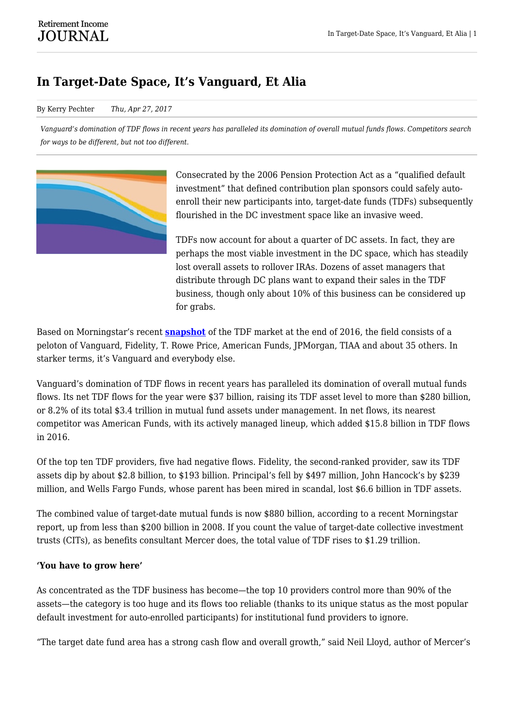## **In Target-Date Space, It's Vanguard, Et Alia**

## By Kerry Pechter *Thu, Apr 27, 2017*

*Vanguard's domination of TDF flows in recent years has paralleled its domination of overall mutual funds flows. Competitors search for ways to be different, but not too different.*



Consecrated by the 2006 Pension Protection Act as a "qualified default investment" that defined contribution plan sponsors could safely autoenroll their new participants into, target-date funds (TDFs) subsequently flourished in the DC investment space like an invasive weed.

TDFs now account for about a quarter of DC assets. In fact, they are perhaps the most viable investment in the DC space, which has steadily lost overall assets to rollover IRAs. Dozens of asset managers that distribute through DC plans want to expand their sales in the TDF business, though only about 10% of this business can be considered up for grabs.

Based on Morningstar's recent **[snapshot](http://corporate1.morningstar.com/ResearchArticle.aspx?documentId=803362)** of the TDF market at the end of 2016, the field consists of a peloton of Vanguard, Fidelity, T. Rowe Price, American Funds, JPMorgan, TIAA and about 35 others. In starker terms, it's Vanguard and everybody else.

Vanguard's domination of TDF flows in recent years has paralleled its domination of overall mutual funds flows. Its net TDF flows for the year were \$37 billion, raising its TDF asset level to more than \$280 billion, or 8.2% of its total \$3.4 trillion in mutual fund assets under management. In net flows, its nearest competitor was American Funds, with its actively managed lineup, which added \$15.8 billion in TDF flows in 2016.

Of the top ten TDF providers, five had negative flows. Fidelity, the second-ranked provider, saw its TDF assets dip by about \$2.8 billion, to \$193 billion. Principal's fell by \$497 million, John Hancock's by \$239 million, and Wells Fargo Funds, whose parent has been mired in scandal, lost \$6.6 billion in TDF assets.

The combined value of target-date mutual funds is now \$880 billion, according to a recent Morningstar report, up from less than \$200 billion in 2008. If you count the value of target-date collective investment trusts (CITs), as benefits consultant Mercer does, the total value of TDF rises to \$1.29 trillion.

## **'You have to grow here'**

As concentrated as the TDF business has become—the top 10 providers control more than 90% of the assets—the category is too huge and its flows too reliable (thanks to its unique status as the most popular default investment for auto-enrolled participants) for institutional fund providers to ignore.

"The target date fund area has a strong cash flow and overall growth," said Neil Lloyd, author of Mercer's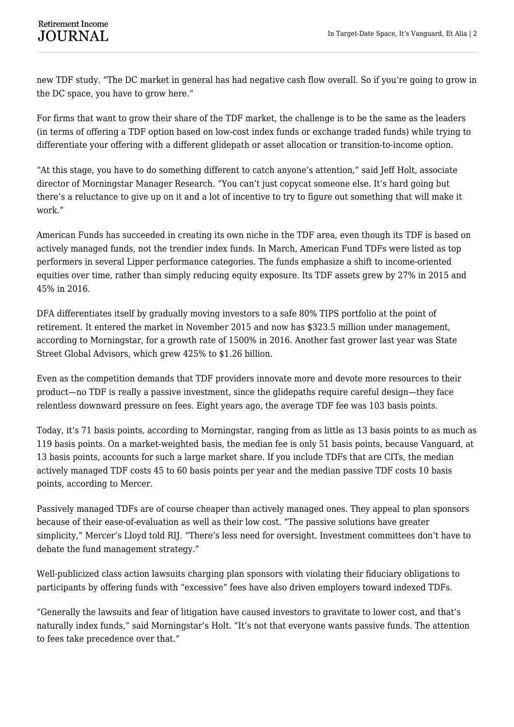new TDF study. "The DC market in general has had negative cash flow overall. So if you're going to grow in the DC space, you have to grow here."

For firms that want to grow their share of the TDF market, the challenge is to be the same as the leaders (in terms of offering a TDF option based on low-cost index funds or exchange traded funds) while trying to differentiate your offering with a different glidepath or asset allocation or transition-to-income option.

"At this stage, you have to do something different to catch anyone's attention," said Jeff Holt, associate director of Morningstar Manager Research. "You can't just copycat someone else. It's hard going but there's a reluctance to give up on it and a lot of incentive to try to figure out something that will make it work."

American Funds has succeeded in creating its own niche in the TDF area, even though its TDF is based on actively managed funds, not the trendier index funds. In March, American Fund TDFs were listed as top performers in several Lipper performance categories. The funds emphasize a shift to income-oriented equities over time, rather than simply reducing equity exposure. Its TDF assets grew by 27% in 2015 and 45% in 2016.

DFA differentiates itself by gradually moving investors to a safe 80% TIPS portfolio at the point of retirement. It entered the market in November 2015 and now has \$323.5 million under management, according to Morningstar, for a growth rate of 1500% in 2016. Another fast grower last year was State Street Global Advisors, which grew 425% to \$1.26 billion.

Even as the competition demands that TDF providers innovate more and devote more resources to their product—no TDF is really a passive investment, since the glidepaths require careful design—they face relentless downward pressure on fees. Eight years ago, the average TDF fee was 103 basis points.

Today, it's 71 basis points, according to Morningstar, ranging from as little as 13 basis points to as much as 119 basis points. On a market-weighted basis, the median fee is only 51 basis points, because Vanguard, at 13 basis points, accounts for such a large market share. If you include TDFs that are CITs, the median actively managed TDF costs 45 to 60 basis points per year and the median passive TDF costs 10 basis points, according to Mercer.

Passively managed TDFs are of course cheaper than actively managed ones. They appeal to plan sponsors because of their ease-of-evaluation as well as their low cost. "The passive solutions have greater simplicity," Mercer's Lloyd told RIJ. "There's less need for oversight. Investment committees don't have to debate the fund management strategy."

Well-publicized class action lawsuits charging plan sponsors with violating their fiduciary obligations to participants by offering funds with "excessive" fees have also driven employers toward indexed TDFs.

"Generally the lawsuits and fear of litigation have caused investors to gravitate to lower cost, and that's naturally index funds," said Morningstar's Holt. "It's not that everyone wants passive funds. The attention to fees take precedence over that."